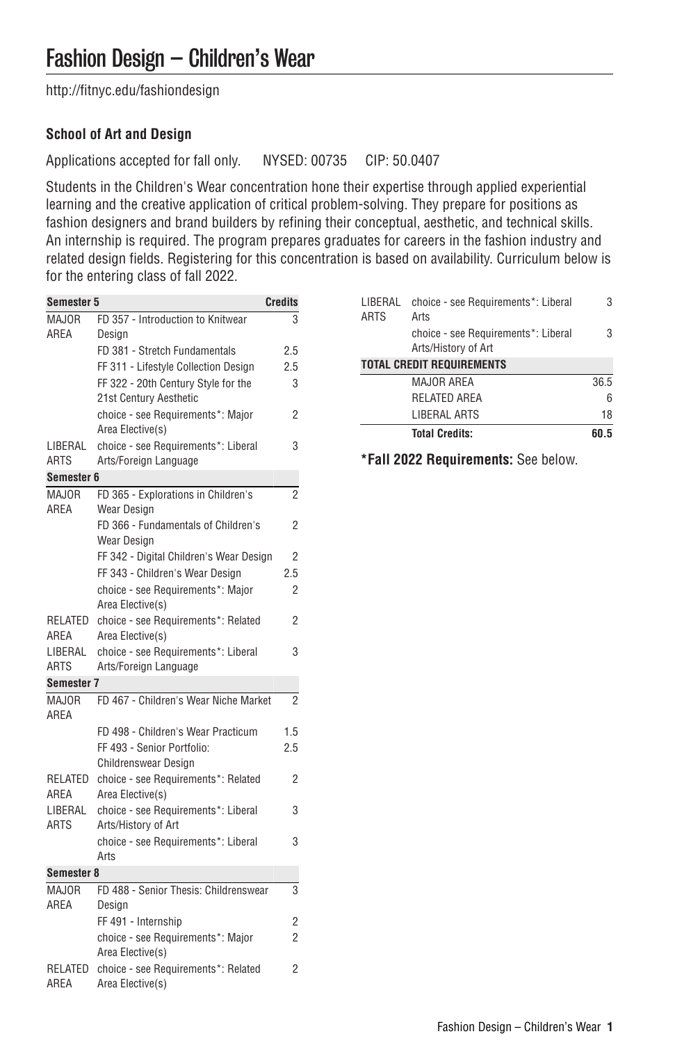[http://fitnyc.edu/fashiondesign](http://fitnyc.edu/fashiondesign/)

# **School of Art and Design**

Applications accepted for fall only. NYSED: 00735 CIP: 50.0407

Students in the Children's Wear concentration hone their expertise through applied experiential learning and the creative application of critical problem-solving. They prepare for positions as fashion designers and brand builders by refining their conceptual, aesthetic, and technical skills. An internship is required. The program prepares graduates for careers in the fashion industry and related design fields. Registering for this concentration is based on availability. Curriculum below is for the entering class of fall 2022.

| <b>Semester 5</b>                                   |                                                            | Credits        |  |
|-----------------------------------------------------|------------------------------------------------------------|----------------|--|
| MAJOR                                               | FD 357 - Introduction to Knitwear                          | 3              |  |
| AREA                                                | Design                                                     |                |  |
|                                                     | FD 381 - Stretch Fundamentals                              | 2.5            |  |
|                                                     | FF 311 - Lifestyle Collection Desian                       | 2.5            |  |
|                                                     | FF 322 - 20th Century Style for the                        | 3              |  |
|                                                     | 21st Century Aesthetic                                     |                |  |
|                                                     | choice - see Requirements*: Major                          | 2              |  |
|                                                     | Area Elective(s)                                           |                |  |
| LIBERAL                                             | choice - see Requirements*: Liberal                        | 3              |  |
| <b>ARTS</b>                                         | Arts/Foreign Language                                      |                |  |
| Semester 6                                          |                                                            |                |  |
| <b>MAJOR</b><br>AREA                                | FD 365 - Explorations in Children's<br>Wear Design         | $\overline{c}$ |  |
|                                                     | FD 366 - Fundamentals of Children's                        | 2              |  |
|                                                     | Wear Design                                                |                |  |
|                                                     | FF 342 - Digital Children's Wear Design                    | $\overline{2}$ |  |
|                                                     | FF 343 - Children's Wear Design                            | 2.5            |  |
|                                                     | choice - see Requirements*: Major                          | 2              |  |
|                                                     | Area Elective(s)                                           |                |  |
| RELATED                                             | choice - see Requirements*: Related                        | 2              |  |
| AREA                                                | Area Elective(s)                                           |                |  |
| LIBERAL                                             | choice - see Requirements*: Liberal                        | 3              |  |
| <b>ARTS</b>                                         | Arts/Foreign Language                                      |                |  |
| Semester 7                                          |                                                            |                |  |
| MA.IOR<br>AREA                                      | FD 467 - Children's Wear Niche Market                      | $\overline{2}$ |  |
|                                                     | FD 498 - Children's Wear Practicum                         | 1.5            |  |
|                                                     | FF 493 - Senior Portfolio:                                 | 2.5            |  |
|                                                     | Childrenswear Design                                       |                |  |
| RELATED<br>AREA                                     | choice - see Requirements*: Related<br>Area Elective(s)    | 2              |  |
| LIBERAL<br><b>ARTS</b>                              | choice - see Requirements*: Liberal<br>Arts/History of Art | 3              |  |
|                                                     | choice - see Requirements*: Liberal                        | 3              |  |
| Arts<br>Semester 8                                  |                                                            |                |  |
| MAJOR<br>FD 488 - Senior Thesis: Childrenswear<br>3 |                                                            |                |  |
| AREA                                                | Design                                                     |                |  |
|                                                     | FF 491 - Internship                                        | $\overline{2}$ |  |
|                                                     | choice - see Requirements*: Major                          | 2              |  |
|                                                     | Area Elective(s)                                           |                |  |
| RELATED                                             | choice - see Requirements*: Related                        | 2              |  |
| AREA                                                | Area Elective(s)                                           |                |  |
|                                                     |                                                            |                |  |

| LIBERAL<br><b>ARTS</b>           | choice - see Requirements*: Liberal<br>Arts                | 3    |  |
|----------------------------------|------------------------------------------------------------|------|--|
|                                  | choice - see Requirements*: Liberal<br>Arts/History of Art | 3    |  |
| <b>TOTAL CREDIT REQUIREMENTS</b> |                                                            |      |  |
|                                  | <b>MAJOR AREA</b>                                          | 36.5 |  |
|                                  | <b>RELATED AREA</b>                                        | 6    |  |
|                                  | LIBERAL ARTS                                               | 18   |  |
|                                  | <b>Total Credits:</b>                                      | 60.5 |  |

**\*Fall 2022 Requirements:** See below.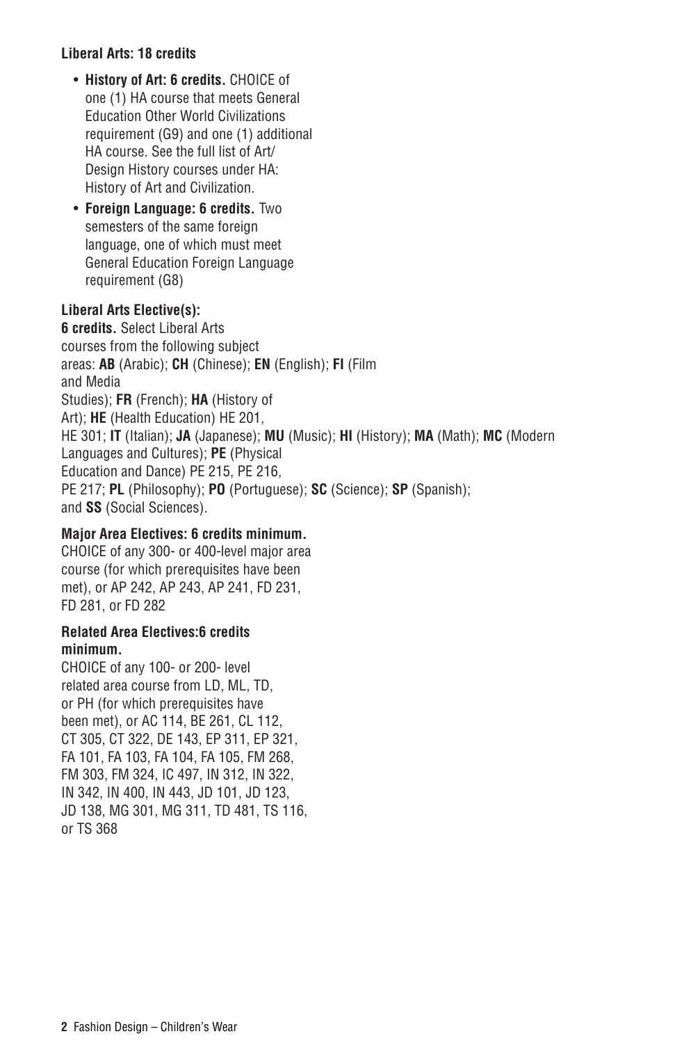# **Liberal Arts: 18 credits**

- **History of Art: 6 credits.** CHOICE of one (1) HA course that meets General Education Other World Civilizations requirement (G9) and one (1) additional HA course. See the full list of Art/ Design History courses under [HA:](http://catalog.fitnyc.edu/undergraduate/courses/ha/) [History of Art and Civilization](http://catalog.fitnyc.edu/undergraduate/courses/ha/).
- **Foreign Language: 6 credits.** Two semesters of the same foreign language, one of which must meet General Education Foreign Language requirement (G8)

### **Liberal Arts Elective(s):**

**6 credits.** Select Liberal Arts courses from the following subject areas: **AB** (Arabic); **CH** (Chinese); **EN** (English); **FI** (Film and Media Studies); **FR** (French); **HA** (History of Art); **HE** (Health Education) HE 201, HE 301; **IT** (Italian); **JA** (Japanese); **MU** (Music); **HI** (History); **MA** (Math); **MC** (Modern Languages and Cultures); **PE** (Physical Education and Dance) PE 215, PE 216, PE 217; **PL** (Philosophy); **PO** (Portuguese); **SC** (Science); **SP** (Spanish); and **SS** (Social Sciences).

# **Major Area Electives: 6 credits minimum.**

CHOICE of any 300- or 400-level major area course (for which prerequisites have been met), or AP 242, AP 243, AP 241, FD 231, FD 281, or FD 282

#### **Related Area Electives:6 credits minimum.**

CHOICE of any 100- or 200- level related area course from LD, ML, TD, or PH (for which prerequisites have been met), or AC 114, BE 261, CL 112, CT 305, CT 322, DE 143, EP 311, EP 321, FA 101, FA 103, FA 104, FA 105, FM 268, FM 303, FM 324, IC 497, IN 312, IN 322, IN 342, IN 400, IN 443, JD 101, JD 123, JD 138, MG 301, MG 311, TD 481, TS 116, or TS 368